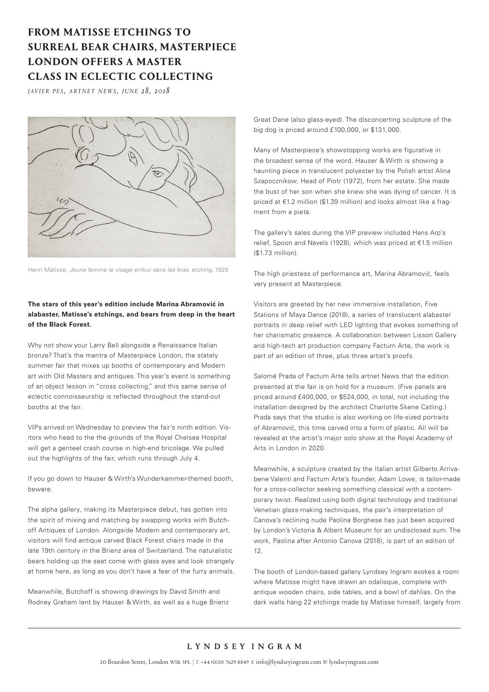## **FROM MATISSE ETCHINGS TO SURREAL BEAR CHAIRS, MASTERPIECE LONDON OFFERS A MASTER CLASS IN ECLECTIC COLLECTING**

*javier pes, artnet news, june 28, 2018* 



Henri Matisse, *Jeune femme le visage enfoui dans les bras*, etching, 1929

## **The stars of this year's edition include Marina Abramović in alabaster, Matisse's etchings, and bears from deep in the heart of the Black Forest.**

Why not show your Larry Bell alongside a Renaissance Italian bronze? That's the mantra of Masterpiece London, the stately summer fair that mixes up booths of contemporary and Modern art with Old Masters and antiques. This year's event is something of an object lesson in "cross collecting," and this same sense of eclectic connoisseurship is reflected throughout the stand-out booths at the fair.

VIPs arrived on Wednesday to preview the fair's ninth edition. Visitors who head to the the grounds of the Royal Chelsea Hospital will get a genteel crash course in high-end bricolage. We pulled out the highlights of the fair, which runs through July 4.

If you go down to Hauser & Wirth's Wunderkammer-themed booth, beware.

The alpha gallery, making its Masterpiece debut, has gotten into the spirit of mixing and matching by swapping works with Butchoff Antiques of London. Alongside Modern and contemporary art, visitors will find antique carved Black Forest chairs made in the late 19th century in the Brienz area of Switzerland. The naturalistic bears holding up the seat come with glass eyes and look strangely at home here, as long as you don't have a fear of the furry animals.

Meanwhile, Butchoff is showing drawings by David Smith and Rodney Graham lent by Hauser & Wirth, as well as a huge Brienz

Great Dane (also glass-eyed). The disconcerting sculpture of the big dog is priced around £100,000, or \$131,000.

Many of Masterpiece's showstopping works are figurative in the broadest sense of the word. Hauser & Wirth is showing a haunting piece in translucent polyester by the Polish artist Alina Szapocznikow, Head of Piotr (1972), from her estate. She made the bust of her son when she knew she was dying of cancer. It is priced at €1.2 million (\$1.39 million) and looks almost like a fragment from a pietà.

The gallery's sales during the VIP preview included Hans Arp's relief, Spoon and Navels (1928), which was priced at €1.5 million (\$1.73 million).

The high priestess of performance art, Marina Abramović, feels very present at Masterpiece.

Visitors are greeted by her new immersive installation, Five Stations of Maya Dance (2018), a series of translucent alabaster portraits in deep relief with LED lighting that evokes something of her charismatic presence. A collaboration between Lisson Gallery and high-tech art production company Factum Arte, the work is part of an edition of three, plus three artist's proofs.

Salomé Prada of Factum Arte tells artnet News that the edition presented at the fair is on hold for a museum. (Five panels are priced around £400,000, or \$524,000, in total, not including the installation designed by the architect Charlotte Skene Catling.) Prada says that the studio is also working on life-sized portraits of Abramović, this time carved into a form of plastic. All will be revealed at the artist's major solo show at the Royal Academy of Arts in London in 2020.

Meanwhile, a sculpture created by the Italian artist Gilberto Arrivabene Valenti and Factum Arte's founder, Adam Lowe, is tailor-made for a cross-collector seeking something classical with a contemporary twist. Realized using both digital technology and traditional Venetian glass-making techniques, the pair's interpretation of Canova's reclining nude Paolina Borghese has just been acquired by London's Victoria & Albert Museum for an undisclosed sum. The work, Paolina after Antonio Canova (2018), is part of an edition of 12.

The booth of London-based gallery Lyndsey Ingram evokes a room where Matisse might have drawn an odalisque, complete with antique wooden chairs, side tables, and a bowl of dahlias. On the dark walls hang 22 etchings made by Matisse himself, largely from

## LYNDSEY INGRAM